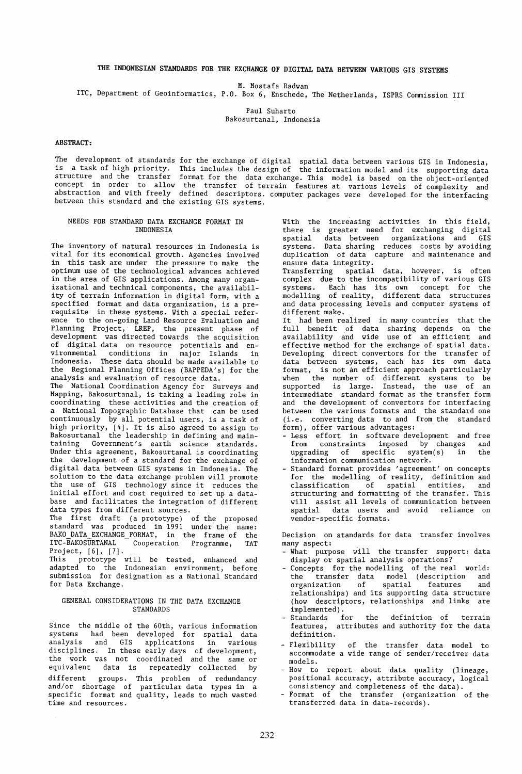# THE INDONESIAN STANDARDS FOR THE EXCHANGE OF DIGITAL DATA BETYEEN VARIOUS GIS SYSTEMS

M. Mostafa Radwan

lTC, Department of Geoinformatics, P.O. Box 6, Enschede, The Netherlands, ISPRS Commission III

Paul Suharto Bakosurtanal, Indonesia

#### ABSTRACT:

The development of standards is a task of high priority. structure and the transfer concept in order to allow abstraction and with freely between this standard and the existing GIS systems. for the exchange of digital spatial data between various GIS in Indonesia, This includes the design of the information model and its supporting data format for the data exchange. This model is based on the object-oriented the transfer of terrain features at various levels of complexity and defined descriptors. computer packages were developed for the interfacing

#### NEEDS FOR STANDARD DATA EXCHANGE FORMAT IN INDONESIA

The inventory of natural resources in Indonesia is vital for its economical growth. Agencies involved in this task are under the pressure to make the optimum use of the technological advances achieved in the area of GIS applications. Among many organizational and technical components, the availability of terrain information in digital form, with a specified format and data organization, is a prerequisite in these systems. With a special reference to the on-going Land Resource Evaluation and Planning Project, LREP, the present phase of development was directed towards the acquisition of digital data on resource potentials and environmental conditions in major Islands in Indonesia. These data should be made available to the Regional Planning Offices (BAPPEDA's) for the analysis and evaluation of resource data. The National Coordination Agency for Surveys and Mapping, Bakosurtanal, is taking a leading role in coordinating these activities and the creation of a National Topographic Database that can be used continuously by all potential users, is a task of high priority, [4]. It is also agreed to assign to Bakosurtanal the leadership in defining and maintaining Government's earth science standards. Under this agreement, Bakosurtanal is coordinating the development of a standard for the exchange of digital data between GIS systems in Indonesia. The solution to the data exchange problem will promote the use of GIS technology since it reduces the initial effort and cost required to set up a database and facilitates the integration of different data types from different sources. The first draft (a prototype) of the proposed

standard was produced in 1991 under the name: BAKO DATA EXCHANGE FORMAT, in the frame of the ITC-BAKOSURTANAL Cooperation Programme, TAT Project, [6], [7].

This prototype will be tested, enhanced and adapted to the Indonesian environment, before submission for designation as a National Standard for Data Exchange.

# GENERAL CONSIDERATIONS IN THE DATA EXCHANGE STANDARDS

Since the middle of the 60th, various information systems had been developed for spatial data analysis and GIS applications in various disciplines. In these early days of development, the work was not coordinated and the same or equivalent data is repeatedly collected by different groups. This problem of redundancy and/or shortage of particular data types in a specific format and quality, leads to much wasted time and resources.

With the increasing activities in this field, there is greater need for exchanging digital spatial data between organizations and GIS systems. Data sharing reduces costs by avoiding duplication of data capture and maintenance and ensure data integrity.

Transferring spatial data, however, is often complex due to the incompatibility of various GIS systems. Each has its own concept for the modelling of reality, different data structures and data processing levels and computer systems of different make.

It had been realized in many countries that the full benefit of data sharing depends on the availability and wide use of an efficient and effective method for the exchange of spatial data. Developing direct convertors for the transfer of data between systems, each has its own data format, is not an efficient approach particularly when the number of different systems to be supported is large. Instead, the use of an intermediate standard format as the transfer form and the development of convertors for interfacing between the various formats and the standard one (i.e. converting data to and from the standard form), offer various advantages:

- Less effort in software-development and free<br>from constraints imposed by changes and  $constraints$  imposed by changes upgrading of specific system(s) in the information communication network.
- Standard format provides 'agreement' on concepts for the modelling of reality, definition and classification of spatial entities, and structuring and formatting of the transfer. This will assist all levels of communication between spatial data users and avoid reliance on vendor-specific formats.

Decision on standards for data transfer involves many aspect:

- What purpose will the transfer support: data display or spatial analysis operations?
- Concepts for the modelling of the real world: the transfer data model (description and organization of spatial features and relationships) and its supporting data structure (how descriptors, relationships and links are implemented) .
- Standards for the definition of terrain features, attributes and authority for the data definition.
- Flexibility of the transfer data model to accommodate a wide range of sender/receiver data models.
- How to report about data quality (lineage, positional accuracy, attribute accuracy, logical consistency and completeness of the data).
- Format of the transfer (organization of the transferred data in data-records).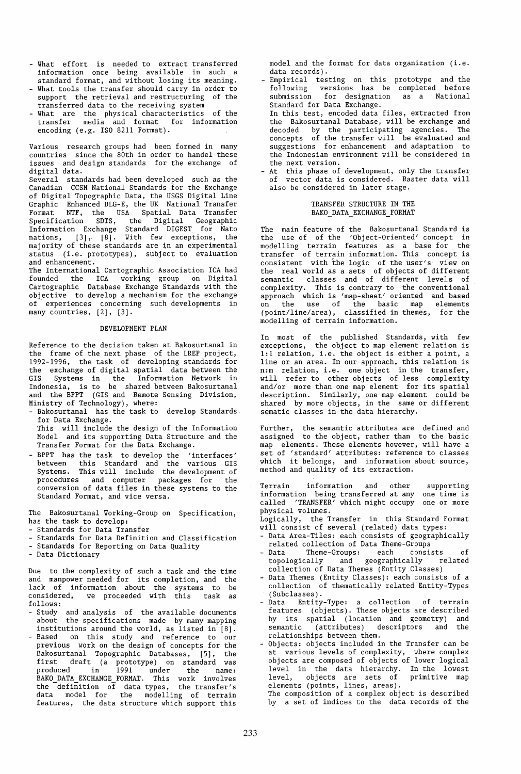- What effort is needed to extract transferred information once being available in such a standard format, and without losing its meaning.
- What tools the transfer should carry in order to support the retrieval and restructuring of the transferred data to the receiving system
- What are the physical characteristics of the transfer media and format for information encoding (e.g. ISO 8211 Format).

Various research groups had been formed in many countries since the 80th in order to handel these issues and design standards for the exchange of digital data.

Several standards had been developed such as the Canadian CCSM National Standards for the Exchange of Digital Topographic Data, the USGS Digital Line Graphic Enhanced DLG-E, the UK National Transfer Format NTF, the USA Spatial Data Transfer Specification SDTS, the Digital Geographic Information Exchange Standard DIGEST for Nato nations, [3], [8]. With few exceptions, the majority of these standards are in an experimental status (i.e. prototypes), subject to evaluation and enhancement.

The International Cartographic Association ICA had founded the ICA working group on Digital Cartographic Database Exchange Standards with the objective to develop a mechanism for the exchange of experiences concerning such developments in many countries, [2], [3].

# DEVELOPMENT PLAN

Reference to the decision taken at Bakosurtanal in the frame of the next phase of the LREP project, 1992-1996, the task of developing standards for the exchange of digital spatial data between the GIS Systems in the Information Network in Indonesia, is to be shared between Bakosurtanal and the BPPT (GIS and Remote Sensing Division, Ministry of Technology), where:

- Bakosurtanal has the task to develop Standards for Data Exchange.

This will include the design of the Information Model and its supporting Data Structure and the Transfer Format for the Data Exchange.

- BPPT has the task to develop the 'interfaces' between this Standard and the various GIS Systems. This will include the development of procedures and computer packages for the conversion of data files in these systems to the Standard Format, and vice versa.

The Bakosurtanal Working-Group on Specification, has the task to develop:

- Standards for Data Transfer
- Standards for Data Definition and Classification
- Standards for Reporting on Data Quality
- Data Dictionary

Due to the complexity of such a task and the time and manpower needed for its completion, and the lack of information about the systems to be considered, we proceeded with this task as follows:

- Study and analysis of the available documents about the specifications made by many mapping institutions around the world, as listed in [8].
- Based on this study and reference to our previous work on the design of concepts for the Bakosurtanal Topographic Databases, [5], the first draft (a prototype) on standard was produced in 1991 under the name: BAKO DATA EXCHANGE FORMAT. This work involves the  $d$ -definition of data types, the transfer's data model for the modelling of terrain features, the data structure which support this

model and the format for data organization (i.e. data records).

- Empirical testing on this prototype and the following versions has be completed before submission for designation as a National Standard for Data Exchange.
- In this test, encoded data files, extracted from the Bakosurtanal Database, will be exchange and decoded by the participating agencies. The concepts of the transfer will be evaluated and suggestions for enhancement and adaptation to the Indonesian environment will be considered in the next version.
- At this phase of development, only the transfer of vector data is considered. Raster data will also be considered in later stage.

## TRANSFER STRUCTURE IN THE BAKO DATA EXCHANGE FORMAT

The main feature of the Bakosurtanal Standard is<br>the use of of the 'Object-Oriented' concept in use of of the 'Object-Oriented' concept in modelling terrain features as a base for the transfer of terrain information. This concept is consistent with the logic of the user's view on the real world as a sets of objects of different semantic classes and of different levels of complexity. This is contrary to the conventional approach which is 'map-sheet' oriented and based on the use of the basic map elements (point/line/area), classified in themes, for the modelling of terrain information.

In most of the published Standards, with few exceptions, the object to map element relation is 1:1 relation, i.e. the object is either a point, a line or an area. In our approach, this relation is n:m relation, i.e. one object in the transfer, will refer to other objects of less complexity and/or more than one map element for its spatial description. Similarly, one map element could be shared by more objects, in the same or different sematic classes in the data hierarchy.

Further, the semantic attributes are defined and assigned to the object, rather than to the basic map elements. These elements however, will have a set of 'standard' attributes: reference to classes which it belongs, and information about source, method and quality of its extraction.

Terrain information and other supporting information being transferred at anyone time is called 'TRANSFER' which might occupy one or more physical volumes.

Logically, the Transfer in this Standard Format will consist of several (related) data types:

- Data Area-Tiles: each consists of geographically related collection of Data Theme-Groups
- Theme-Groups: each consists of topologically and geographically related collection of Data Themes (Entity Classes)
- Data Themes (Entity Classes): each consists of a collection of thematically related Entity-Types (Subclasses).
- Data Entity-Type: a collection of terrain features (objects). These objects are described by its spatial (location and geometry) and semantic (attributes) descriptors and the relationships between them.
- Objects: objects included in the Transfer can be at various levels of complexity, where complex objects are composed of objects of lower logical level in the data hierarchy. In the lowest level, objects are sets of primitive map elements (points, lines, areas).

The composition of a complex object is described by a set of indices to the data records of the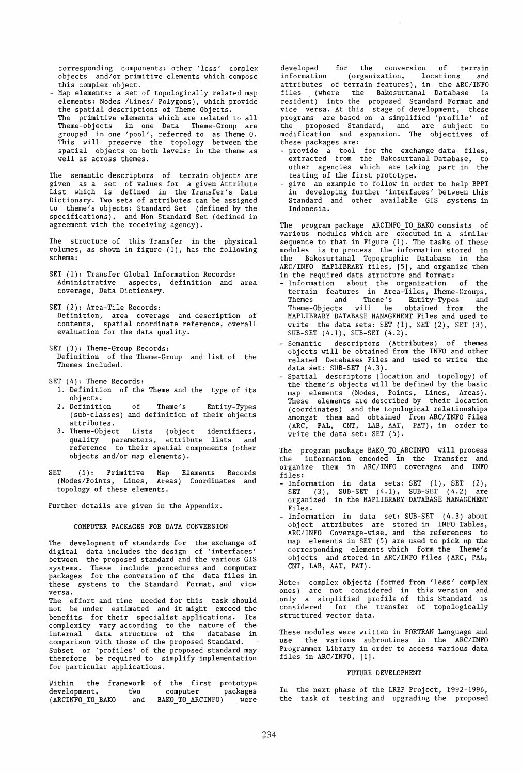corresponding components: other 'less' complex objects and/or primitive elements which compose this complex object.

- Map elements: a set of topologically related map elements: Nodes /Lines/ Polygons), which provide the spatial descriptions of Theme Objects. The primitive elements which are related to all Theme-objects in one Data Theme-Group are grouped in one 'pool', referred to as Theme O. This will preserve the topology between the spatial objects on both levels: in the theme as well as across themes.

The semantic descriptors of terrain objects are given as a set of values for a given Attribute List which is defined in the Transfer's Data Dictionary. Two sets of attributes can be assigned to theme's objects: Standard Set (defined by the specifications), and Non-Standard Set (defined in agreement with the receiving agency).

The structure of this Transfer in the physical volumes, as shown in figure (1), has the following schema:

- SET (1): Transfer Global Information Records: Administrative aspects, definition and area coverage, Data Dictionary.
- SET (2): Area-Tile Records: Definition, area coverage and description of contents, spatial coordinate reference, overall evaluation for the data quality.
- SET (3): Theme-Group Records: Definition of the Theme-Group and list of the Themes included.
- SET (4): Theme Records:
	- 1. Definition of the Theme and the type of its objects.<br>2. Definition
	- of Theme's Entity-Types (sub-classes) and definition of their objects attributes.
	- 3. Theme-Object Lists (object identifiers, quality parameters, attribute lists and reference to their spatial components (other objects and/or map elements).
- SET (5): Primitive Map Elements Records (Nodes/Points, Lines, Areas) Coordinates and topology of these elements.

Further details are given in the Appendix.

## COMPUTER PACKAGES FOR DATA CONVERSION

The development of standards for the exchange of digital data includes the design of 'interfaces' between the proposed standard and the various GIS systems. These include procedures and computer packages for the conversion of the data files in these systems to the Standard Format, and vice versa.

The effort and time needed for this task should not be under estimated and it might exceed the benefits for their specialist applications. Its complexity vary according to the nature of the internal data structure of the database in comparison with those of the proposed Standard. Subset or 'profiles' of the proposed standard may therefore be required to simplify implementation for particular applications.

Vithin the framework of the first prototype development, (ARCINFO\_TO\_BAKO tvo and computer packages BAKO TO ARCINFO) were

developed for the conversion of terrain<br>information (organization, locations and (organization, locations attributes of terrain features), in the ARC/INFO files (where the Bakosurtanal Database resident) into the proposed Standard Format and vice versa. At this stage of development, these programs are based on a simplified 'profile' of the proposed Standard, and are subject to modification and expansion. The objectives of these packages are:

- provide a tool for the exchange data files, extracted from the Bakosurtanal Database, to other agencies which are taking part in the testing of the first prototype.
- give an example to follow in order to help BPPT in developing further 'interfaces' between this Standard and other available GIS systems in Indonesia.

The program package ARCINFO TO BAKO consists of various modules which are executed in a similar sequence to that in Figure (1). The tasks of these modules is to process the information stored in the Bakosurtanal Topographic Database in the ARC/INFO MAPLIBRARY files, [5], and organize them in the required data structure and format:

- Information about the organization of the terrain features in Area-Tiles, Theme-Groups, Themes and Theme's Entity-Types and Theme-Objects will be obtained from the Theme-Objects will be obtained from the<br>MAPLIBRARY DATABASE MANAGEMENT Files and used to write the data sets: SET  $(1)$ , SET  $(2)$ , SET  $(3)$ , SUB-SET  $(4.1)$ , SUB-SET  $(4.2)$ .
- Semantic descriptors (Attributes) of themes objects will be obtained from the INFO and other related Databases Files and used to write the data set:  $SUB-SET (4.3)$ .
- Spatial descriptors (location and topology) of the theme's objects will be defined by the basic map elements (Nodes, Points, Lines, Areas). These elements are described by their location (coordinates) and the topological relationships amongst them and obtained from ARC/INFO Files (ARC, PAL, CNT, LAB, AAT, PAT), in order to write the data set: SET (5).

The program package BAKO\_TO\_ARCINFO will process the information encoded in the Transfer and organize them in ARC/INFO coverages and INFO files:

- Information in data sets: SET (1), SET (2), SET (3), SUB-SET (4.1), SUB-SET (4.2) are organized in the MAPLIBRARY DATABASE MANAGEMENT Files.
- Information in data set: SUB-SET (4.3) about object attributes are stored in INFO Tables, ARC/INFO Coverage-wise, and the references to map elements in SET (5) are used to pick up the corresponding elements which form the Theme's objects and stored in ARC/INFO Files (ARC, PAL, CNT, LAB, AAT, PAT).

Note: complex objects (formed from 'less' complex ones) are not considered in this version and only a simplified profile of this Standard is considered for the transfer of topologically structured vector data.

These modules were written in FORTRAN Language and use the various subroutines in the ARC/INFO Programmer Library in order to access various data files in ARC/INFO, [1].

## FUTURE DEVELOPMENT

In the next phase of the LREP Project, 1992-1996, the task of testing and upgrading the proposed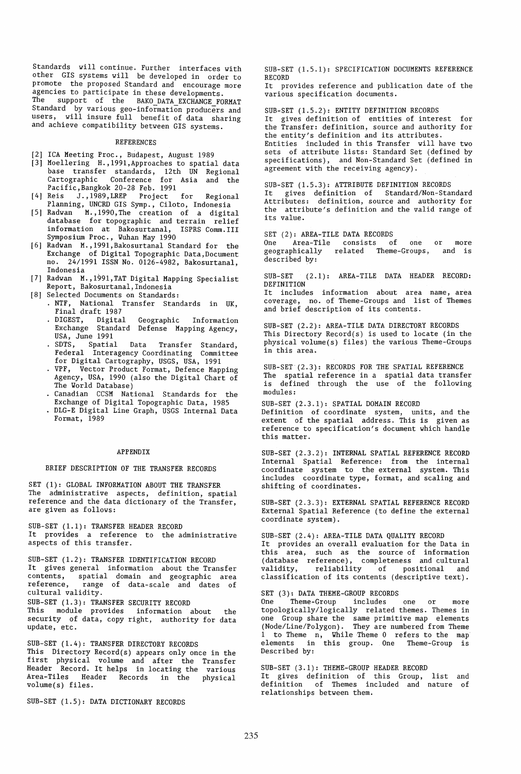Standards will continue. Further interfaces with other GIS systems will be developed in order to promote the proposed Standard and encourage more agencies to participate in these developments.<br>The support of the BAKO DATA EXCUANCE FO support of the BAKO DATA EXCHANGE FORMAT Standard by various geo-information producers and users, will insure full benefit of data sharing and achieve compatibility between GIS systems.

#### REFERENCES

- [2] ICA Meeting Proc., Budapest, August 1989
- **[3]** Moellering H.,1991,Approaches to spatial data base transfer standards, 12th UN Regional Cartographic Conference for Asia and the Pacific, Bangkok 20-28 Feb. 1991<br>Reis J., 1989, LREP Project for
- [4] Reis J.,1989,LREP Project for Regional Planning, UNCRD GIS Symp., Ciloto, Indonesia
- [5] Radwan M., 1990, The creation of a digital database for topographic and terrain relief information at Bakosurtanal, ISPRS Comm.III Symposium Proc., Wuhan May 1990
- [6] Radwan M.,1991,Bakosurtanal Standard for the Exchange of Digital Topographic Data,Document no. 24/1991 ISSN No. 0126-4982, Bakosurtanal, Indonesia
- [7] Radwan M.,1991,TAT Digital Mapping Specialist Report, Bakosurtanal,Indonesia
- [8] Selected Documents on Standards:
	- NTF, National Transfer Standards in UK, Final draft 1987<br>DIGEST, Digital
		- Geographic Information Exchange Standard Defense Mapping Agency, USA, June 1991
		- · SDTS, Spatial Data Transfer Standard, Federal Interagency Coordinating Committee for Digital Cartography, USGS, USA, 1991
		- VPF, Vector Product Format, Defence Mapping Agency, USA, 1990 (also the Digital Chart of The World Database)
		- Canadian CCSM National Standards for the Exchange of Digital Topographic Data, 1985
		- DLG-E Digital Line Graph, USGS Internal Data Format, 1989

#### APPENDIX

# BRIEF DESCRIPTION OF THE TRANSFER RECORDS

SET (1): GLOBAL INFORMATION ABOUT THE TRANSFER The administrative aspects, definition, spatial reference and the data dictionary of the Transfer, are given as follows:

SUB-SET (1.1): TRANSFER HEADER RECORD It provides a reference to the administrative aspects of this transfer.

SUB-SET (1.2): TRANSFER IDENTIFICATION RECORD It gives general information about the Transfer<br>contents, spatial domain and geographic area contents, spatial domain and geographic area<br>reference, range of data-scale and dates of range of data-scale and dates of cultural validity. SUB-SET (1.3): TRANSFER SECURITY RECORD This module provides information about the

security of data, copy right, authority for data update, etc.

SUB-SET (1.4): TRANSFER DIRECTORY RECORDS This Directory Record(s) appears only once in the first physical volume and after the Transfer Header Record. It helps in locating the various Area-Tiles Header Records in the physical volume(s) files.

SUB-SET (1.5): DATA DICTIONARY RECORDS

SUB-SET (1.5.1): SPECIFICATION DOCUMENTS REFERENCE RECORD

It provides reference and publication date of the various specification documents.

SUB-SET (1.5.2): ENTITY DEFINITION RECORDS It gives definition of entities of interest for the Transfer: definition, source and authority for the entity's definition and its attributes.

Entities included in this Transfer will have two sets of attribute lists: Standard Set (defined by specifications), and Non-Standard Set (defined in agreement with the receiving agency).

# SUB-SET (1.5.3): ATTRIBUTE DEFINITION RECORDS

It gives definition of Standard/Non-Standard Attributes: definition, source and authority for the attribute's definition and the valid range of its value.

SET (2): AREA-TILE DATA RECORDS<br>One Area-Tile consists of

,<br>Area-Tile consists of one or more<br>phically related Theme-Groups, and is geographically related Theme-Groups, described by:

SUB-SET (2.1): AREA-TILE DATA HEADER RECORD: DEFINITION

It includes information about area name, area coverage, no. of Theme-Groups and list of Themes and brief description of its contents.

SUB-SET (2.2): AREA-TILE DATA DIRECTORY RECORDS This Directory Record(s) is used to locate (in the physical volume(s) files) the various Theme-Groups in this area.

SUB-SET (2.3): RECORDS FOR THE SPATIAL REFERENCE The spatial reference in a spatial data transfer is defined through the use of the following modules:

SUB-SET (2.3.1): SPATIAL DOMAIN RECORD Definition of coordinate system, units, and the extent of the spatial address. This is given as reference to specification's document which handle this matter.

SUB-SET (2.3.2): INTERNAL SPATIAL REFERENCE RECORD Internal Spatial Reference: from the internal coordinate system to the external system. This includes coordinate type, format, and scaling and shifting of coordinates.

SUB-SET (2.3.3): EXTERNAL SPATIAL REFERENCE RECORD External Spatial Reference (to define the external coordinate system).

SUB-SET (2.4): AREA-TILE DATA QUALITY RECORD It provides an overall evaluation for the Data in this area, such as the source of information (database reference), completeness and cultural validity, reliability of positional and validity, reliability of positional and<br>classification of its contents (descriptive text).

SET (3): DATA THEME-GROUP RECORDS<br>One Theme-Group includes Theme-Group includes one or more topologically/logically related themes. Themes in one Group share the same primitive map elements (Node/Line/Polygon). They are numbered from Theme to Theme  $n$ , While Theme 0 refers to the map elements in this group. One Theme-Group is Described by:

SUB-SET (3.1): THEME-GROUP HEADER RECORD It gives definition of this Group, list and definition of Themes included and nature of relationships between them.